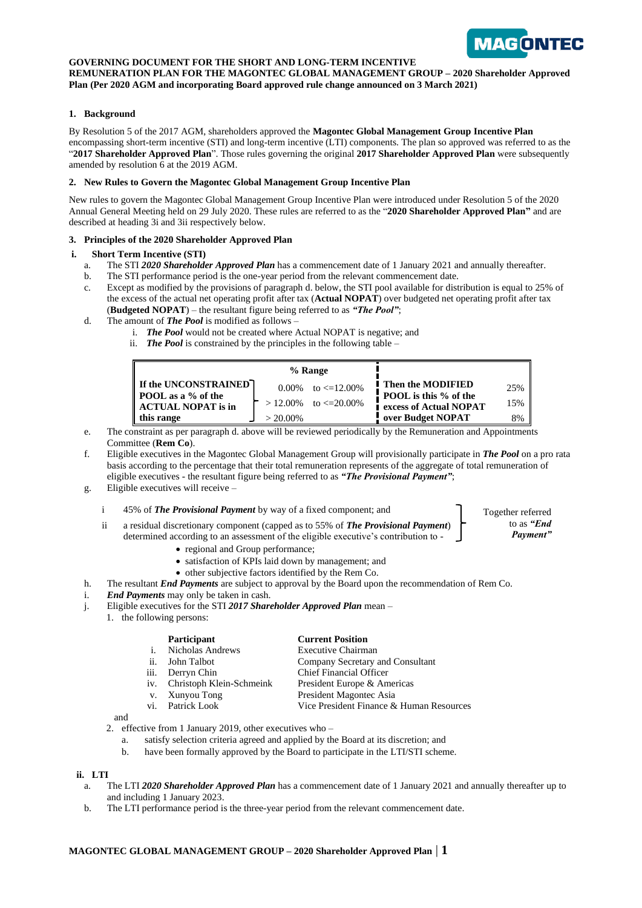

### **GOVERNING DOCUMENT FOR THE SHORT AND LONG-TERM INCENTIVE**

**REMUNERATION PLAN FOR THE MAGONTEC GLOBAL MANAGEMENT GROUP – 2020 Shareholder Approved Plan (Per 2020 AGM and incorporating Board approved rule change announced on 3 March 2021)** 

### **1. Background**

By Resolution 5 of the 2017 AGM, shareholders approved the **Magontec Global Management Group Incentive Plan**  encompassing short-term incentive (STI) and long-term incentive (LTI) components. The plan so approved was referred to as the "**2017 Shareholder Approved Plan**". Those rules governing the original **2017 Shareholder Approved Plan** were subsequently amended by resolution 6 at the 2019 AGM.

### **2. New Rules to Govern the Magontec Global Management Group Incentive Plan**

New rules to govern the Magontec Global Management Group Incentive Plan were introduced under Resolution 5 of the 2020 Annual General Meeting held on 29 July 2020. These rules are referred to as the "**2020 Shareholder Approved Plan"** and are described at heading 3i and 3ii respectively below.

### **3. Principles of the 2020 Shareholder Approved Plan**

### **i. Short Term Incentive (STI)**

- a. The STI *2020 Shareholder Approved Plan* has a commencement date of 1 January 2021 and annually thereafter.
- b. The STI performance period is the one-year period from the relevant commencement date.
- c. Except as modified by the provisions of paragraph d. below, the STI pool available for distribution is equal to 25% of the excess of the actual net operating profit after tax (**Actual NOPAT**) over budgeted net operating profit after tax (**Budgeted NOPAT**) – the resultant figure being referred to as *"The Pool"*;
- d. The amount of *The Pool* is modified as follows
	- i. *The Pool* would not be created where Actual NOPAT is negative; and
	- ii. *The Pool* is constrained by the principles in the following table –

| % Range                                                                                                  |                      |                                                    |                                                                                                          |                  |
|----------------------------------------------------------------------------------------------------------|----------------------|----------------------------------------------------|----------------------------------------------------------------------------------------------------------|------------------|
| <b>If the UNCONSTRAINED</b><br><b>POOL</b> as a % of the<br>$\parallel$ ACTUAL NOPAT is in<br>this range | 0.00%<br>$> 20.00\%$ | to $\leq 12.00\%$<br>$> 12.00\%$ to $\leq 20.00\%$ | <b>Then the MODIFIED</b><br>POOL is this % of the<br><b>Lexcess of Actual NOPAT</b><br>over Budget NOPAT | 25%<br>15%<br>8% |

- e. The constraint as per paragraph d. above will be reviewed periodically by the Remuneration and Appointments Committee (**Rem Co**).
- f. Eligible executives in the Magontec Global Management Group will provisionally participate in *The Pool* on a pro rata basis according to the percentage that their total remuneration represents of the aggregate of total remuneration of eligible executives - the resultant figure being referred to as *"The Provisional Payment"*;
- g. Eligible executives will receive –

i 45% of **The Provisional Payment** by way of a fixed component; and Together referred

- ii a residual discretionary component (capped as to 55% of *The Provisional Payment*) determined according to an assessment of the eligible executive's contribution to -
	- regional and Group performance;
	- satisfaction of KPIs laid down by management; and
	- other subjective factors identified by the Rem Co.
- h. The resultant *End Payments* are subject to approval by the Board upon the recommendation of Rem Co.
- i. *End Payments* may only be taken in cash.
- j. Eligible executives for the STI *2017 Shareholder Approved Plan* mean –

# 1. the following persons:

# **Participant Current Position**

- i. Nicholas Andrews Executive Chairman<br>
ii. John Talbot Company Secretary
- ii. John Talbot Company Secretary and Consultant<br>
iii. Derryn Chin Chief Financial Officer
- **Derryn Chin** Chief Financial Officer
- iv. Christoph Klein-Schmeink President Europe & Americas
- v. Xunyou Tong President Magontec Asia
- vi. Patrick Look Vice President Finance & Human Resources

and

- 2. effective from 1 January 2019, other executives who
	- a. satisfy selection criteria agreed and applied by the Board at its discretion; and
	- b. have been formally approved by the Board to participate in the LTI/STI scheme.

### **ii. LTI**

- a. The LTI *2020 Shareholder Approved Plan* has a commencement date of 1 January 2021 and annually thereafter up to and including 1 January 2023.
- b. The LTI performance period is the three-year period from the relevant commencement date.

### **MAGONTEC GLOBAL MANAGEMENT GROUP – 2020 Shareholder Approved Plan** | **1**

to as *"End Payment"*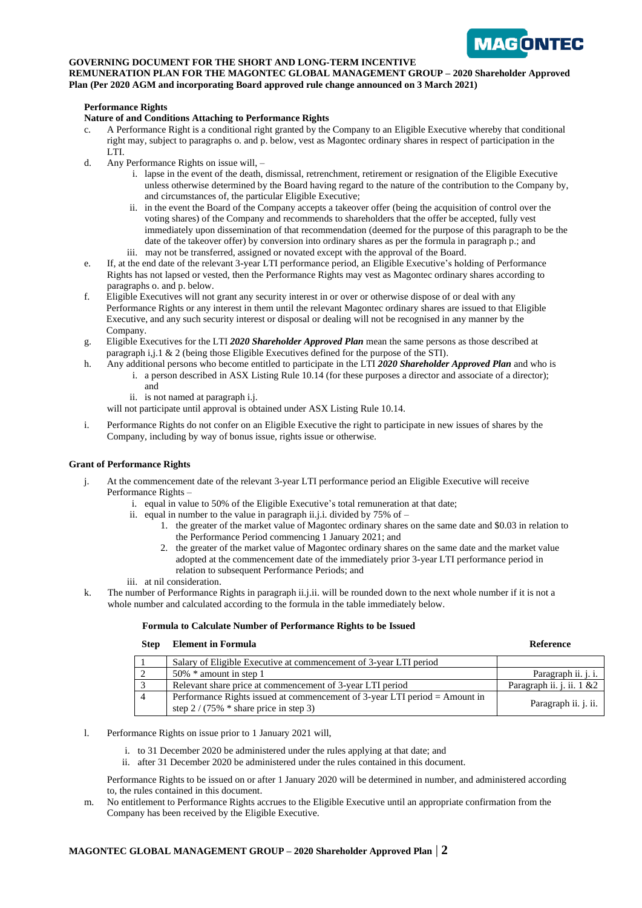

## **GOVERNING DOCUMENT FOR THE SHORT AND LONG-TERM INCENTIVE**

**REMUNERATION PLAN FOR THE MAGONTEC GLOBAL MANAGEMENT GROUP – 2020 Shareholder Approved Plan (Per 2020 AGM and incorporating Board approved rule change announced on 3 March 2021)** 

### **Performance Rights**

### **Nature of and Conditions Attaching to Performance Rights**

- c. A Performance Right is a conditional right granted by the Company to an Eligible Executive whereby that conditional right may, subject to paragraphs o. and p. below, vest as Magontec ordinary shares in respect of participation in the LTI.
- d. Any Performance Rights on issue will, *–*
	- i. lapse in the event of the death, dismissal, retrenchment, retirement or resignation of the Eligible Executive unless otherwise determined by the Board having regard to the nature of the contribution to the Company by, and circumstances of, the particular Eligible Executive;
	- ii. in the event the Board of the Company accepts a takeover offer (being the acquisition of control over the voting shares) of the Company and recommends to shareholders that the offer be accepted, fully vest immediately upon dissemination of that recommendation (deemed for the purpose of this paragraph to be the date of the takeover offer) by conversion into ordinary shares as per the formula in paragraph p.; and iii. may not be transferred, assigned or novated except with the approval of the Board.
- e. If, at the end date of the relevant 3-year LTI performance period, an Eligible Executive's holding of Performance Rights has not lapsed or vested, then the Performance Rights may vest as Magontec ordinary shares according to paragraphs o. and p. below.
- f. Eligible Executives will not grant any security interest in or over or otherwise dispose of or deal with any Performance Rights or any interest in them until the relevant Magontec ordinary shares are issued to that Eligible Executive, and any such security interest or disposal or dealing will not be recognised in any manner by the Company.
- g. Eligible Executives for the LTI *2020 Shareholder Approved Plan* mean the same persons as those described at paragraph i,j.1 & 2 (being those Eligible Executives defined for the purpose of the STI).
- h. Any additional persons who become entitled to participate in the LTI *2020 Shareholder Approved Plan* and who is i. a person described in ASX Listing Rule 10.14 (for these purposes a director and associate of a director);
	- and
	- ii. is not named at paragraph i.j.

will not participate until approval is obtained under ASX Listing Rule 10.14.

i. Performance Rights do not confer on an Eligible Executive the right to participate in new issues of shares by the Company, including by way of bonus issue, rights issue or otherwise.

### **Grant of Performance Rights**

- j. At the commencement date of the relevant 3-year LTI performance period an Eligible Executive will receive Performance Rights –
	- i. equal in value to 50% of the Eligible Executive's total remuneration at that date;
	- ii. equal in number to the value in paragraph ii.j.i. divided by  $75\%$  of
		- 1. the greater of the market value of Magontec ordinary shares on the same date and \$0.03 in relation to the Performance Period commencing 1 January 2021; and
		- 2. the greater of the market value of Magontec ordinary shares on the same date and the market value adopted at the commencement date of the immediately prior 3-year LTI performance period in relation to subsequent Performance Periods; and
	- iii. at nil consideration.
- k. The number of Performance Rights in paragraph ii.j.ii. will be rounded down to the next whole number if it is not a whole number and calculated according to the formula in the table immediately below.

### **Formula to Calculate Number of Performance Rights to be Issued**

### **Step Element in Formula Reference**

|        | Salary of Eligible Executive at commencement of 3-year LTI period                                                     |                               |
|--------|-----------------------------------------------------------------------------------------------------------------------|-------------------------------|
|        | $50\%$ * amount in step 1                                                                                             | Paragraph ii. j. i.           |
| $\sim$ | Relevant share price at commencement of 3-year LTI period                                                             | Paragraph ii. j. ii. $1 \& 2$ |
|        | Performance Rights issued at commencement of 3-year LTI period = Amount in<br>step $2/(75\% * share price in step 3)$ | Paragraph ii. j. ii.          |

- l. Performance Rights on issue prior to 1 January 2021 will,
	- i. to 31 December 2020 be administered under the rules applying at that date; and
	- ii. after 31 December 2020 be administered under the rules contained in this document.

Performance Rights to be issued on or after 1 January 2020 will be determined in number, and administered according to, the rules contained in this document.

m. No entitlement to Performance Rights accrues to the Eligible Executive until an appropriate confirmation from the Company has been received by the Eligible Executive.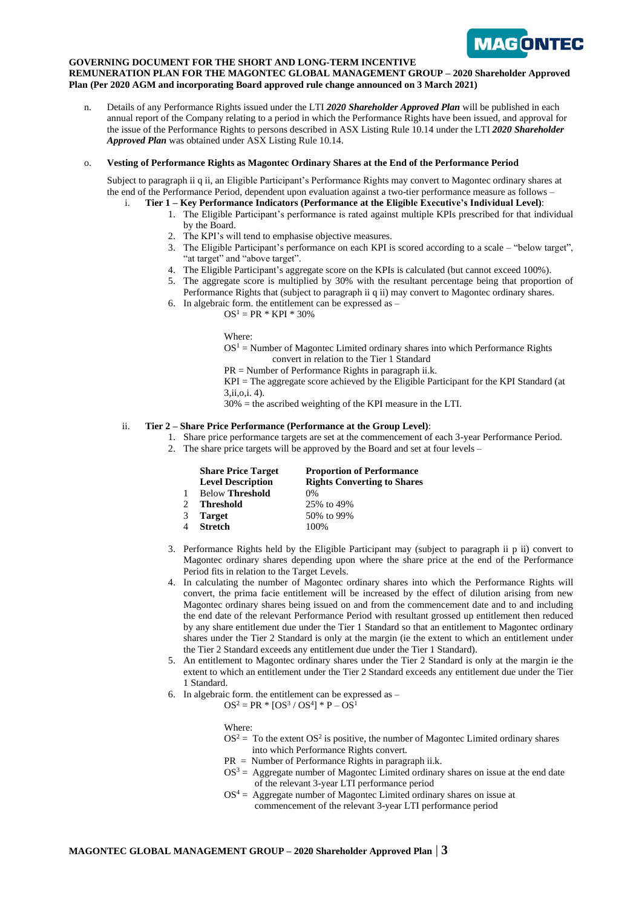

### **GOVERNING DOCUMENT FOR THE SHORT AND LONG-TERM INCENTIVE**

**REMUNERATION PLAN FOR THE MAGONTEC GLOBAL MANAGEMENT GROUP – 2020 Shareholder Approved Plan (Per 2020 AGM and incorporating Board approved rule change announced on 3 March 2021)** 

n. Details of any Performance Rights issued under the LTI *2020 Shareholder Approved Plan* will be published in each annual report of the Company relating to a period in which the Performance Rights have been issued, and approval for the issue of the Performance Rights to persons described in ASX Listing Rule 10.14 under the LTI *2020 Shareholder Approved Plan* was obtained under ASX Listing Rule 10.14.

### o. **Vesting of Performance Rights as Magontec Ordinary Shares at the End of the Performance Period**

Subject to paragraph ii q ii, an Eligible Participant's Performance Rights may convert to Magontec ordinary shares at the end of the Performance Period, dependent upon evaluation against a two-tier performance measure as follows –

- i. **Tier 1 – Key Performance Indicators (Performance at the Eligible Executive's Individual Level)**:
	- 1. The Eligible Participant's performance is rated against multiple KPIs prescribed for that individual by the Board.
	- 2. The KPI's will tend to emphasise objective measures.
	- 3. The Eligible Participant's performance on each KPI is scored according to a scale "below target", "at target" and "above target".
	- 4. The Eligible Participant's aggregate score on the KPIs is calculated (but cannot exceed 100%).
	- 5. The aggregate score is multiplied by 30% with the resultant percentage being that proportion of Performance Rights that (subject to paragraph ii q ii) may convert to Magontec ordinary shares.
	- 6. In algebraic form. the entitlement can be expressed as
		- $OS<sup>1</sup> = PR * KPI * 30%$

Where:

- $OS<sup>1</sup>$  = Number of Magontec Limited ordinary shares into which Performance Rights convert in relation to the Tier 1 Standard
- $PR =$  Number of Performance Rights in paragraph ii.k.

KPI = The aggregate score achieved by the Eligible Participant for the KPI Standard (at 3,ii,o,i. 4).

30% = the ascribed weighting of the KPI measure in the LTI.

### ii. **Tier 2 – Share Price Performance (Performance at the Group Level)**:

- 1. Share price performance targets are set at the commencement of each 3-year Performance Period.
- 2. The share price targets will be approved by the Board and set at four levels –

|         | <b>Share Price Target</b><br><b>Level Description</b> | <b>Proportion of Performance</b><br><b>Rights Converting to Shares</b> |
|---------|-------------------------------------------------------|------------------------------------------------------------------------|
| 1       | <b>Below Threshold</b>                                | $0\%$                                                                  |
| $2^{1}$ | <b>Threshold</b>                                      | 25% to 49%                                                             |
| 3       | <b>Target</b>                                         | 50% to 99%                                                             |
|         | 4 Stretch                                             | 100%                                                                   |

- 3. Performance Rights held by the Eligible Participant may (subject to paragraph ii p ii) convert to Magontec ordinary shares depending upon where the share price at the end of the Performance Period fits in relation to the Target Levels.
- 4. In calculating the number of Magontec ordinary shares into which the Performance Rights will convert, the prima facie entitlement will be increased by the effect of dilution arising from new Magontec ordinary shares being issued on and from the commencement date and to and including the end date of the relevant Performance Period with resultant grossed up entitlement then reduced by any share entitlement due under the Tier 1 Standard so that an entitlement to Magontec ordinary shares under the Tier 2 Standard is only at the margin (ie the extent to which an entitlement under the Tier 2 Standard exceeds any entitlement due under the Tier 1 Standard).
- 5. An entitlement to Magontec ordinary shares under the Tier 2 Standard is only at the margin ie the extent to which an entitlement under the Tier 2 Standard exceeds any entitlement due under the Tier 1 Standard.
- 6. In algebraic form. the entitlement can be expressed as  $OS^2 = PR * [OS^3 / OS^4] * P - OS^1$

Where:

- $OS<sup>2</sup> = To the extent  $OS<sup>2</sup>$  is positive, the number of Magonteal Limited ordinary shares$ into which Performance Rights convert.
- $PR =$  Number of Performance Rights in paragraph ii.k.
- $OS<sup>3</sup> =$  Aggregate number of Magontec Limited ordinary shares on issue at the end date of the relevant 3-year LTI performance period
- $OS<sup>4</sup> =$  Aggregate number of Magontec Limited ordinary shares on issue at commencement of the relevant 3-year LTI performance period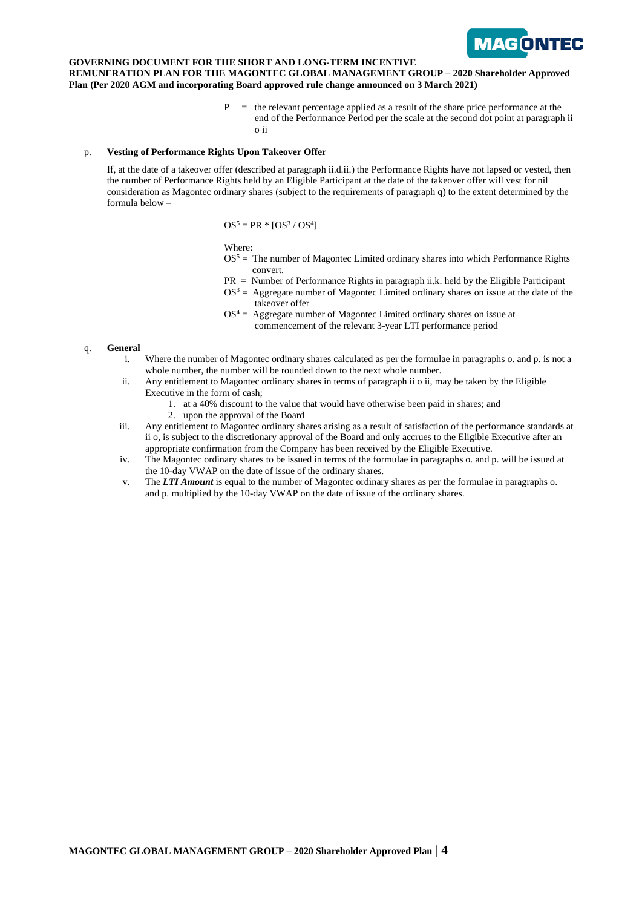

### **GOVERNING DOCUMENT FOR THE SHORT AND LONG-TERM INCENTIVE REMUNERATION PLAN FOR THE MAGONTEC GLOBAL MANAGEMENT GROUP – 2020 Shareholder Approved Plan (Per 2020 AGM and incorporating Board approved rule change announced on 3 March 2021)**

 $=$  the relevant percentage applied as a result of the share price performance at the end of the Performance Period per the scale at the second dot point at paragraph ii o ii

### p. **Vesting of Performance Rights Upon Takeover Offer**

If, at the date of a takeover offer (described at paragraph ii.d.ii.) the Performance Rights have not lapsed or vested, then the number of Performance Rights held by an Eligible Participant at the date of the takeover offer will vest for nil consideration as Magontec ordinary shares (subject to the requirements of paragraph q) to the extent determined by the formula below –

 $OS^5 = PR * [OS^3 / OS^4]$ 

Where:

- $OS<sup>5</sup>$  = The number of Magontec Limited ordinary shares into which Performance Rights convert.
- PR = Number of Performance Rights in paragraph ii.k. held by the Eligible Participant
- $OS<sup>3</sup> =$  Aggregate number of Magontec Limited ordinary shares on issue at the date of the takeover offer
- $OS<sup>4</sup> =$  Aggregate number of Magontec Limited ordinary shares on issue at commencement of the relevant 3-year LTI performance period

### q. **General**

- i. Where the number of Magontec ordinary shares calculated as per the formulae in paragraphs o. and p. is not a whole number, the number will be rounded down to the next whole number.
- ii. Any entitlement to Magontec ordinary shares in terms of paragraph ii o ii, may be taken by the Eligible Executive in the form of cash;
	- 1. at a 40% discount to the value that would have otherwise been paid in shares; and
	- 2. upon the approval of the Board
- iii. Any entitlement to Magontec ordinary shares arising as a result of satisfaction of the performance standards at ii o, is subject to the discretionary approval of the Board and only accrues to the Eligible Executive after an appropriate confirmation from the Company has been received by the Eligible Executive.
- iv. The Magontec ordinary shares to be issued in terms of the formulae in paragraphs o. and p. will be issued at the 10-day VWAP on the date of issue of the ordinary shares.
- v. The *LTI Amount* is equal to the number of Magontec ordinary shares as per the formulae in paragraphs o. and p. multiplied by the 10-day VWAP on the date of issue of the ordinary shares.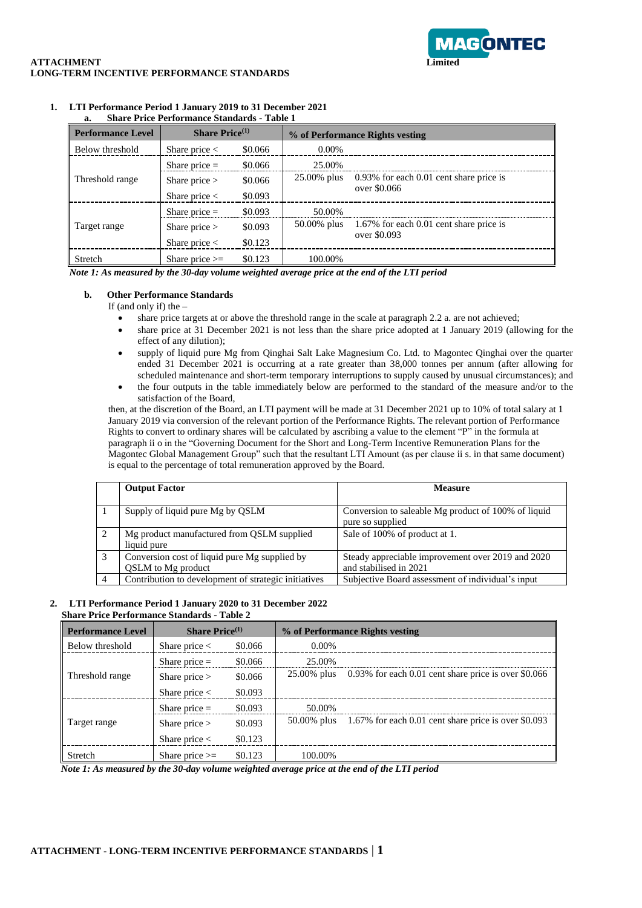

# **ATTACHMENT LONG-TERM INCENTIVE PERFORMANCE STANDARDS**

| a.<br>Share I file I cribi mance Stanuarus - Table I |                             |         |                                 |                                         |  |
|------------------------------------------------------|-----------------------------|---------|---------------------------------|-----------------------------------------|--|
| <b>Performance Level</b>                             | <b>Share Price</b> $^{(1)}$ |         | % of Performance Rights vesting |                                         |  |
| Below threshold                                      | Share price $\lt$           | \$0.066 | 0.00%                           |                                         |  |
|                                                      | Share price $=$             | \$0.066 | 25.00%                          |                                         |  |
| Threshold range                                      | Share price $>$             | \$0.066 | 25.00% plus                     | 0.93% for each 0.01 cent share price is |  |
|                                                      | Share price $\lt$           | \$0.093 |                                 | over \$0.066                            |  |
|                                                      | Share price $=$             | \$0.093 | 50.00%                          |                                         |  |
| Target range                                         | Share price $>$             | \$0.093 | $50.00\%$ plus                  | 1.67% for each 0.01 cent share price is |  |
|                                                      | Share price $<$             | \$0.123 |                                 | over \$0.093                            |  |
| Stretch                                              | Share price $>=$            | \$0.123 | 100.00%                         |                                         |  |

### **1. LTI Performance Period 1 January 2019 to 31 December 2021 a. Share Price Performance Standards - Table 1**

*Note 1: As measured by the 30-day volume weighted average price at the end of the LTI period*

### **b. Other Performance Standards**

If (and only if) the –

- share price targets at or above the threshold range in the scale at paragraph 2.2 a. are not achieved;
- share price at 31 December 2021 is not less than the share price adopted at 1 January 2019 (allowing for the effect of any dilution);
- supply of liquid pure Mg from Qinghai Salt Lake Magnesium Co. Ltd. to Magontec Qinghai over the quarter ended 31 December 2021 is occurring at a rate greater than 38,000 tonnes per annum (after allowing for scheduled maintenance and short-term temporary interruptions to supply caused by unusual circumstances); and
- the four outputs in the table immediately below are performed to the standard of the measure and/or to the satisfaction of the Board,

then, at the discretion of the Board, an LTI payment will be made at 31 December 2021 up to 10% of total salary at 1 January 2019 via conversion of the relevant portion of the Performance Rights. The relevant portion of Performance Rights to convert to ordinary shares will be calculated by ascribing a value to the element " $P''$ " in the formula at paragraph ii o in the "Governing Document for the Short and Long-Term Incentive Remuneration Plans for the Magontec Global Management Group" such that the resultant LTI Amount (as per clause ii s. in that same document) is equal to the percentage of total remuneration approved by the Board.

|   | <b>Output Factor</b>                                      | Measure                                                                 |
|---|-----------------------------------------------------------|-------------------------------------------------------------------------|
|   | Supply of liquid pure Mg by QSLM                          | Conversion to saleable Mg product of 100% of liquid<br>pure so supplied |
| 2 | Mg product manufactured from OSLM supplied<br>liquid pure | Sale of 100% of product at 1.                                           |
| 3 | Conversion cost of liquid pure Mg supplied by             | Steady appreciable improvement over 2019 and 2020                       |
|   | OSLM to Mg product                                        | and stabilised in 2021                                                  |
|   | Contribution to development of strategic initiatives      | Subjective Board assessment of individual's input                       |

### **2. LTI Performance Period 1 January 2020 to 31 December 2022 Share Price Performance Standards - Table 2**

| <b>Performance Level</b> | <b>Share Price</b> $^{(1)}$ |         | % of Performance Rights vesting |                                                         |
|--------------------------|-----------------------------|---------|---------------------------------|---------------------------------------------------------|
| Below threshold          | Share price $<$             | \$0.066 | 0.00%                           |                                                         |
|                          | Share price $=$             | \$0.066 | 25.00%                          |                                                         |
| Threshold range          | Share price $>$             | \$0.066 | 25.00% plus                     | $0.93\%$ for each 0.01 cent share price is over \$0.066 |
|                          | Share price $\lt$           | \$0.093 |                                 |                                                         |
|                          | Share price $=$             | \$0.093 | 50.00%                          |                                                         |
| Target range             | Share price $>$             | \$0.093 | $50.00\%$ plus                  | 1.67% for each 0.01 cent share price is over \$0.093    |
|                          | Share price $\lt$           | \$0.123 |                                 |                                                         |
| Stretch                  | Share price $>=$            | \$0.123 | 100.00%                         |                                                         |

*Note 1: As measured by the 30-day volume weighted average price at the end of the LTI period*